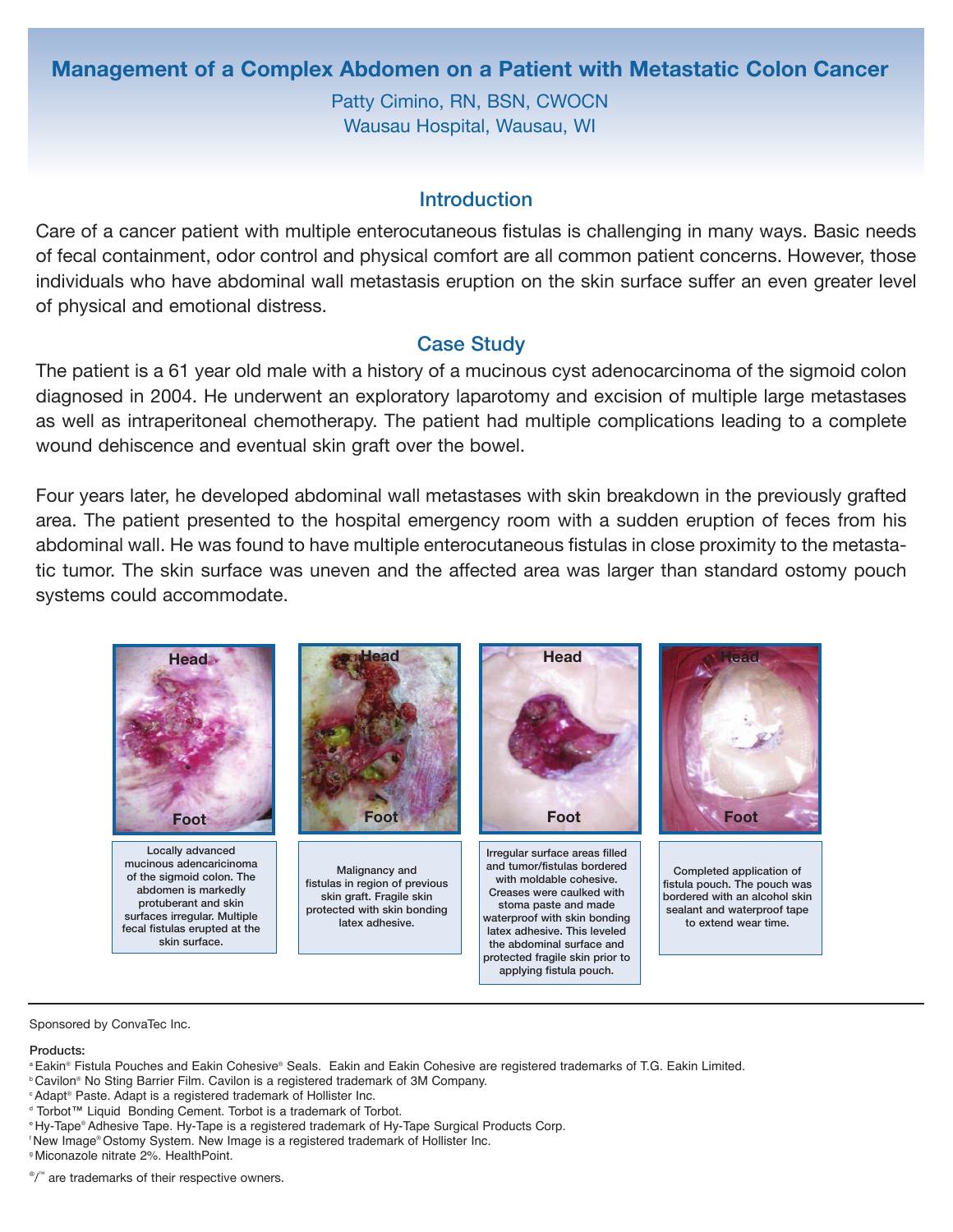# **Management of a Complex Abdomen on a Patient with Metastatic Colon Cancer**

Patty Cimino, RN, BSN, CWOCN Wausau Hospital, Wausau, WI

### **Introduction**

Care of a cancer patient with multiple enterocutaneous fistulas is challenging in many ways. Basic needs of fecal containment, odor control and physical comfort are all common patient concerns. However, those individuals who have abdominal wall metastasis eruption on the skin surface suffer an even greater level of physical and emotional distress.

### Case Study

The patient is a 61 year old male with a history of a mucinous cyst adenocarcinoma of the sigmoid colon diagnosed in 2004. He underwent an exploratory laparotomy and excision of multiple large metastases as well as intraperitoneal chemotherapy. The patient had multiple complications leading to a complete wound dehiscence and eventual skin graft over the bowel.

Four years later, he developed abdominal wall metastases with skin breakdown in the previously grafted area. The patient presented to the hospital emergency room with a sudden eruption of feces from his abdominal wall. He was found to have multiple enterocutaneous fistulas in close proximity to the metastatic tumor. The skin surface was uneven and the affected area was larger than standard ostomy pouch systems could accommodate.



#### Sponsored by ConvaTec Inc.

#### Products:

- <sup>a</sup> Eakin® Fistula Pouches and Eakin Cohesive® Seals. Eakin and Eakin Cohesive are registered trademarks of T.G. Eakin Limited.
- b Cavilon® No Sting Barrier Film. Cavilon is a registered trademark of 3M Company.
- **CAdapt® Paste. Adapt is a registered trademark of Hollister Inc.**
- <sup>d</sup> Torbot™ Liquid Bonding Cement. Torbot is a trademark of Torbot.
- e Hy-Tape® Adhesive Tape. Hy-Tape is a registered trademark of Hy-Tape Surgical Products Corp.
- f New Image® Ostomy System. New Image is a registered trademark of Hollister Inc.
- <sup>9</sup> Miconazole nitrate 2%. HealthPoint.
- <sup>®/™</sup> are trademarks of their respective owners.